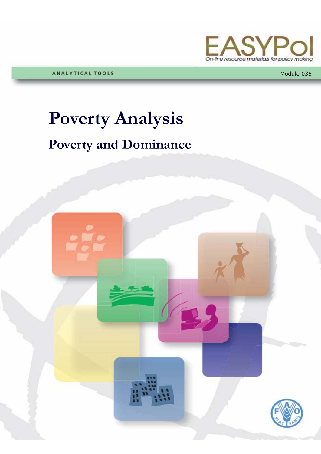

ANALYTICAL TOOLS

#### Module 035

# **Poverty Analysis**

## **Poverty and Dominance**

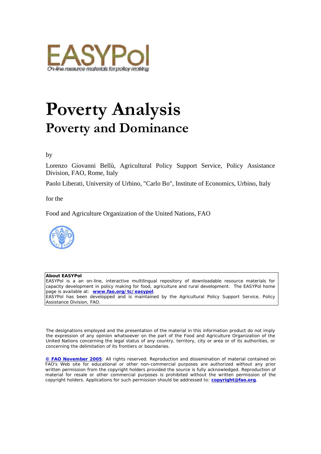

## **Poverty Analysis Poverty and Dominance**

#### by

Lorenzo Giovanni Bellù, Agricultural Policy Support Service, Policy Assistance Division, FAO, Rome, Italy

Paolo Liberati, University of Urbino, "Carlo Bo", Institute of Economics, Urbino, Italy

for the

Food and Agriculture Organization of the United Nations, FAO



#### **About EASYPol**

EASYPol is a an on-line, interactive multilingual repository of downloadable resource materials for capacity development in policy making for food, agriculture and rural development. The EASYPol home page is available at: *[www.fao.org/tc/easypol](http://www.fao.org/tc/easypol)*.

EASYPol has been developped and is maintained by the Agricultural Policy Support Service, Policy Assistance Division, FAO.

The designations employed and the presentation of the material in this information product do not imply the expression of any opinion whatsoever on the part of the Food and Agriculture Organization of the United Nations concerning the legal status of any country, territory, city or area or of its authorities, or concerning the delimitation of its frontiers or boundaries.

**[© FAO November 2005](http://www.fao.org/copyright_EN.htm)**: All rights reserved. Reproduction and dissemination of material contained on FAO's Web site for educational or other non-commercial purposes are authorized without any prior written permission from the copyright holders provided the source is fully acknowledged. Reproduction of material for resale or other commercial purposes is prohibited without the written permission of the copyright holders. Applications for such permission should be addressed to: **[copyright@fao.org](mailto:copyright@fao.org)**.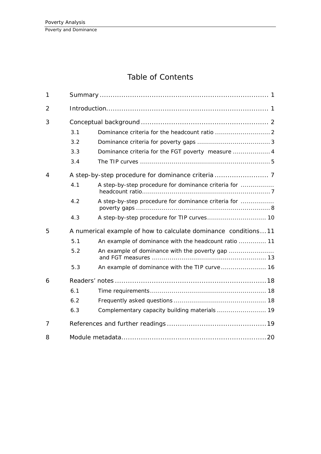### Table of Contents

| 1              |     |                                                                |  |  |  |  |  |
|----------------|-----|----------------------------------------------------------------|--|--|--|--|--|
| $\overline{2}$ |     |                                                                |  |  |  |  |  |
| 3              |     |                                                                |  |  |  |  |  |
|                | 3.1 |                                                                |  |  |  |  |  |
|                | 3.2 |                                                                |  |  |  |  |  |
|                | 3.3 | Dominance criteria for the FGT poverty measure  4              |  |  |  |  |  |
|                | 3.4 |                                                                |  |  |  |  |  |
| $\overline{4}$ |     |                                                                |  |  |  |  |  |
|                | 4.1 | A step-by-step procedure for dominance criteria for            |  |  |  |  |  |
|                | 4.2 | A step-by-step procedure for dominance criteria for            |  |  |  |  |  |
|                | 4.3 | A step-by-step procedure for TIP curves 10                     |  |  |  |  |  |
| 5              |     | A numerical example of how to calculate dominance conditions11 |  |  |  |  |  |
|                | 5.1 | An example of dominance with the headcount ratio  11           |  |  |  |  |  |
|                | 5.2 | An example of dominance with the poverty gap                   |  |  |  |  |  |
|                | 5.3 | An example of dominance with the TIP curve  16                 |  |  |  |  |  |
| 6              |     |                                                                |  |  |  |  |  |
|                | 6.1 |                                                                |  |  |  |  |  |
|                | 6.2 |                                                                |  |  |  |  |  |
|                | 6.3 | Complementary capacity building materials  19                  |  |  |  |  |  |
| $\overline{7}$ |     |                                                                |  |  |  |  |  |
| 8              |     |                                                                |  |  |  |  |  |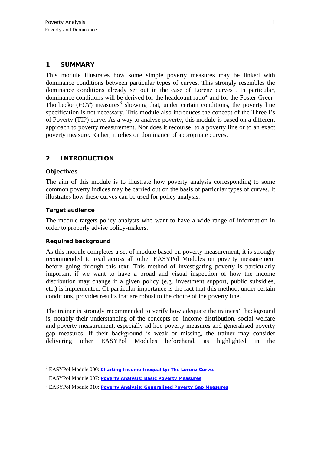#### <span id="page-4-0"></span>**1 SUMMARY**

This module illustrates how some simple poverty measures may be linked with dominance conditions between particular types of curves. This strongly resembles the dominance conditions already set out in the case of Lorenz curves<sup>[1](#page-4-1)</sup>. In particular, dominance conditions will be derived for the headcount ratio<sup>[2](#page-4-2)</sup> and for the Foster-Greer-Thorbecke  $(FGT)$  measures<sup>[3](#page-4-3)</sup> showing that, under certain conditions, the poverty line specification is not necessary. This module also introduces the concept of the Three I's of Poverty (TIP) curve. As a way to analyse poverty, this module is based on a different approach to poverty measurement. Nor does it recourse to a poverty line or to an exact poverty measure. Rather, it relies on dominance of appropriate curves.

#### **2 INTRODUCTION**

#### **Objectives**

1

The aim of this module is to illustrate how poverty analysis corresponding to some common poverty indices may be carried out on the basis of particular types of curves. It illustrates how these curves can be used for policy analysis.

#### **Target audience**

The module targets policy analysts who want to have a wide range of information in order to properly advise policy-makers.

#### **Required background**

As this module completes a set of module based on poverty measurement, it is strongly recommended to read across all other EASYPol Modules on poverty measurement before going through this text. This method of investigating poverty is particularly important if we want to have a broad and visual inspection of how the income distribution may change if a given policy (e.g. investment support, public subsidies, etc.) is implemented. Of particular importance is the fact that this method, under certain conditions, provides results that are robust to the choice of the poverty line.

The trainer is strongly recommended to verify how adequate the trainees' background is, notably their understanding of the concepts of income distribution, social welfare and poverty measurement, especially ad hoc poverty measures and generalised poverty gap measures. If their background is weak or missing, the trainer may consider delivering other EASYPol Modules beforehand, as highlighted in the

<span id="page-4-1"></span><sup>&</sup>lt;sup>1</sup> EASYPol Module 000: *[Charting Income Inequality: The Lorenz Curve](http://www.fao.org/docs/up/easypol/302/charting_income_inequality_000EN.pdf)*.

<span id="page-4-2"></span><sup>2</sup> EASYPol Module 007: *[Poverty Analysis: Basic Poverty Measures](http://www.fao.org/docs/up/easypol/323/basic-pov-measures_007EN.pdf)*.

<span id="page-4-3"></span><sup>3</sup> EASYPol Module 010: *[Poverty Analysis: Generalised Poverty Gap Measures](http://www.fao.org/docs/up/easypol/324/gnrlsed_pvty_gap_msrs_010EN.pdf)*.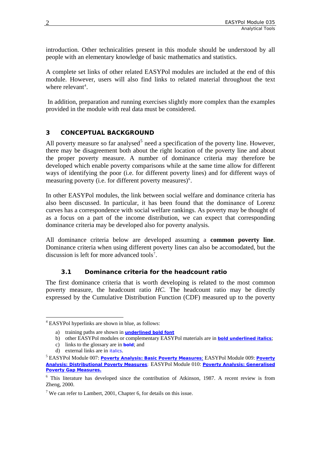<span id="page-5-0"></span>introduction. Other technicalities present in this module should be understood by all people with an elementary knowledge of basic mathematics and statistics.

A complete set links of other related EASYPol modules are included at the end of this module. However, users will also find links to related material throughout the text where relevant<sup>[4](#page-5-1)</sup>.

In addition, preparation and running exercises slightly more complex than the examples provided in the module with real data must be considered.

#### **3 CONCEPTUAL BACKGROUND**

All poverty measure so far analysed<sup>[5](#page-5-2)</sup> need a specification of the poverty line. However, there may be disagreement both about the right location of the poverty line and about the proper poverty measure. A number of dominance criteria may therefore be developed which enable poverty comparisons while at the same time allow for different ways of identifying the poor (i.e. for different poverty lines) and for different ways of measuring poverty (i.e. for different poverty measures)<sup>[6](#page-5-3)</sup>.

In other EASYPol modules, the link between social welfare and dominance criteria has also been discussed. In particular, it has been found that the dominance of Lorenz curves has a correspondence with social welfare rankings. As poverty may be thought of as a focus on a part of the income distribution, we can expect that corresponding dominance criteria may be developed also for poverty analysis.

All dominance criteria below are developed assuming a **common poverty line**. Dominance criteria when using different poverty lines can also be accomodated, but the discussion is left for more advanced tools<sup>[7](#page-5-4)</sup>.

#### **3.1 Dominance criteria for the headcount ratio**

The first dominance criteria that is worth developing is related to the most common poverty measure, the headcount ratio *HC*. The headcount ratio may be directly expressed by the Cumulative Distribution Function (CDF) measured up to the poverty

<span id="page-5-1"></span><sup>&</sup>lt;u>.</u> 4 EASYPol hyperlinks are shown in blue, as follows:

a) training paths are shown in **underlined bold font**

b) other EASYPol modules or complementary EASYPol materials are in *bold underlined italics*;

c) links to the glossary are in **bold**; and

d) external links are in *italics*.

<span id="page-5-2"></span>EASYPol Module 007: *[Poverty Analysis: Basic Poverty Measures](http://www.fao.org/docs/up/easypol/323/basic-pov-measures_007EN.pdf)*; EASYPol Module 009: *[Poverty](http://www.fao.org/docs/up/easypol/322/distributional-pvmsrs_009EN.pdf)  [Analysis: Distributional Poverty Measures](http://www.fao.org/docs/up/easypol/322/distributional-pvmsrs_009EN.pdf);* EASYPol Module 010: *[Poverty Analysis: Generalised](http://www.fao.org/docs/up/easypol/324/gnrlsed_pvty_gap_msrs_010EN.pdf)  [Poverty Gap Measures](http://www.fao.org/docs/up/easypol/324/gnrlsed_pvty_gap_msrs_010EN.pdf).*

<span id="page-5-3"></span><sup>&</sup>lt;sup>6</sup> This literature has developed since the contribution of Atkinson, 1987. A recent review is from Zheng, 2000.

<span id="page-5-4"></span><sup>&</sup>lt;sup>7</sup> We can refer to Lambert, 2001, Chapter 6, for details on this issue.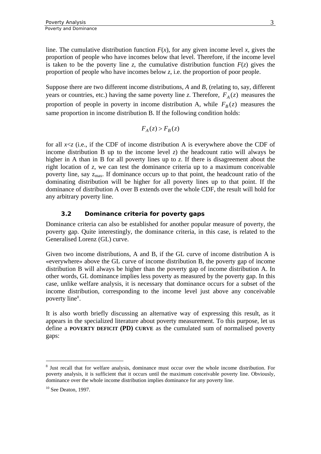<span id="page-6-0"></span>line. The cumulative distribution function  $F(x)$ , for any given income level x, gives the proportion of people who have incomes below that level. Therefore, if the income level is taken to be the poverty line *z*, the cumulative distribution function  $F(z)$  gives the proportion of people who have incomes below *z*, i.e. the proportion of poor people.

Suppose there are two different income distributions, *A* and *B*, (relating to, say, different years or countries, etc.) having the same poverty line *z*. Therefore,  $F_A(z)$  measures the proportion of people in poverty in income distribution A, while  $F_B(z)$  measures the same proportion in income distribution B. If the following condition holds:

$$
F_A(z) > F_B(z)
$$

for all *x*<*z* (i.e., if the CDF of income distribution A is everywhere above the CDF of income distribution B up to the income level  $z$ ) the headcount ratio will always be higher in A than in B for all poverty lines up to *z*. If there is disagreement about the right location of *z*, we can test the dominance criteria up to a maximum conceivable poverty line, say  $z_{\text{max}}$ . If dominance occurs up to that point, the headcount ratio of the dominating distribution will be higher for all poverty lines up to that point. If the dominance of distribution A over B extends over the whole CDF, the result will hold for any arbitrary poverty line.

#### **3.2 Dominance criteria for poverty gaps**

Dominance criteria can also be established for another popular measure of poverty, the poverty gap. Quite interestingly, the dominance criteria, in this case, is related to the Generalised Lorenz (GL) curve.

Given two income distributions, A and B, if the GL curve of income distribution A is «everywhere» above the GL curve of income distribution B, the poverty gap of income distribution B will always be higher than the poverty gap of income distribution A. In other words, GL dominance implies less poverty as measured by the poverty gap. In this case, unlike welfare analysis, it is necessary that dominance occurs for a subset of the income distribution, corresponding to the income level just above any conceivable poverty line<sup>[8](#page-6-1)</sup>.

It is also worth briefly discussing an alternative way of expressing this result, as it appears in the specialized literature about poverty measurement. To this purpose, let us define a **POVERTY DEFICIT (PD) CURVE** as the cumulated sum of normalised poverty gaps:

1

<span id="page-6-1"></span><sup>&</sup>lt;sup>8</sup> Just recall that for welfare analysis, dominance must occur over the whole income distribution. For poverty analysis, it is sufficient that it occurs until the maximum conceivable poverty line. Obviously, dominance over the whole income distribution implies dominance for any poverty line.

 $10$  See Deaton, 1997.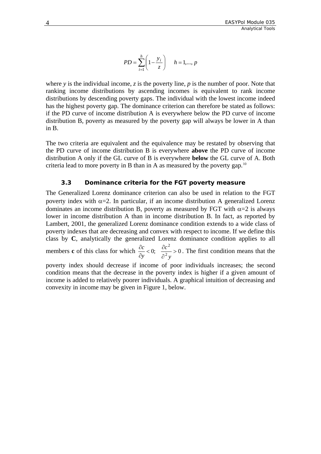$$
PD = \sum_{i=1}^{h} \left( 1 - \frac{y_i}{z} \right) \quad h = 1, ..., p
$$

<span id="page-7-0"></span>where *y* is the individual income, *z* is the poverty line, *p* is the number of poor. Note that ranking income distributions by ascending incomes is equivalent to rank income distributions by descending poverty gaps. The individual with the lowest income indeed has the highest poverty gap. The dominance criterion can therefore be stated as follows: if the PD curve of income distribution A is everywhere below the PD curve of income distribution B, poverty as measured by the poverty gap will always be lower in A than in B.

The two criteria are equivalent and the equivalence may be restated by observing that the PD curve of income distribution B is everywhere **above** the PD curve of income distribution A only if the GL curve of B is everywhere **below** the GL curve of A. Both criteria lead to more poverty in B than in A as measured by the poverty gap.<sup>[10](#page-7-1)</sup>

#### **3.3 Dominance criteria for the FGT poverty measure**

The Generalized Lorenz dominance criterion can also be used in relation to the FGT poverty index with  $\alpha=2$ . In particular, if an income distribution A generalized Lorenz dominates an income distribution B, poverty as measured by FGT with  $\alpha=2$  is always lower in income distribution A than in income distribution B. In fact, as reported by Lambert, 2001, the generalized Lorenz dominance condition extends to a wide class of poverty indexes that are decreasing and convex with respect to income. If we define this class by **C**, analytically the generalized Lorenz dominance condition applies to all members **c** of this class for which  $\frac{\partial c}{\partial y} < 0$ ;  $\frac{\partial c}{\partial z} > 0$ 2 > ∂  $< 0; \quad \frac{\partial}{\partial}$ ∂ ∂ *y c y*  $\frac{bc}{c}$  < 0;  $\frac{\partial c^2}{\partial r^2}$  > 0. The first condition means that the poverty index should decrease if income of poor individuals increases; the second

<span id="page-7-1"></span>condition means that the decrease in the poverty index is higher if a given amount of income is added to relatively poorer individuals. A graphical intuition of decreasing and convexity in income may be given in Figure 1, below.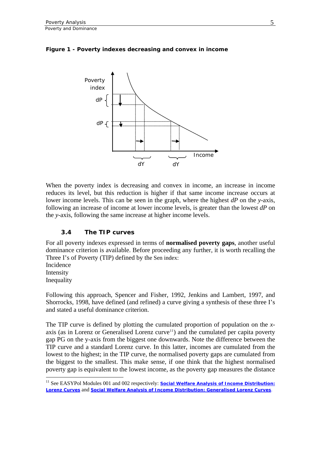

#### <span id="page-8-0"></span>**Figure 1 - Poverty indexes decreasing and convex in income**

When the poverty index is decreasing and convex in income, an increase in income reduces its level, but this reduction is higher if that same income increase occurs at lower income levels. This can be seen in the graph, where the highest *dP* on the *y*-axis, following an increase of income at lower income levels, is greater than the lowest *dP* on the *y*-axis, following the same increase at higher income levels.

#### **3.4 The TIP curves**

For all poverty indexes expressed in terms of **normalised poverty gaps**, another useful dominance criterion is available. Before proceeding any further, it is worth recalling the Three I's of Poverty (TIP) defined by the Sen index:

Incidence Intensity Inequality

1

Following this approach, Spencer and Fisher, 1992, Jenkins and Lambert, 1997, and Shorrocks, 1998, have defined (and refined) a curve giving a synthesis of these three I's and stated a useful dominance criterion.

The TIP curve is defined by plotting the cumulated proportion of population on the *x*-axis (as in Lorenz or Generalised Lorenz curve<sup>[11](#page-8-1)</sup>) and the cumulated per capita poverty gap PG on the y-axis from the biggest one downwards. Note the difference between the TIP curve and a standard Lorenz curve. In this latter, incomes are cumulated from the lowest to the highest; in the TIP curve, the normalised poverty gaps are cumulated from the biggest to the smallest. This make sense, if one think that the highest normalised poverty gap is equivalent to the lowest income, as the poverty gap measures the distance

<span id="page-8-1"></span><sup>&</sup>lt;sup>11</sup> See EASYPol Modules 001 and 002 respectively: **Social Welfare Analysis of Income Distribution:** *[Lorenz Curves](http://www.fao.org/docs/up/easypol/305/swa_lorenz_curves_001EN.pdf)* and *[Social Welfare Analysis of Income Distribution: Generalised Lorenz Curves](http://www.fao.org/docs/up/easypol/306/swa_gen_lorenzcurves_002EN-1.pdf)*.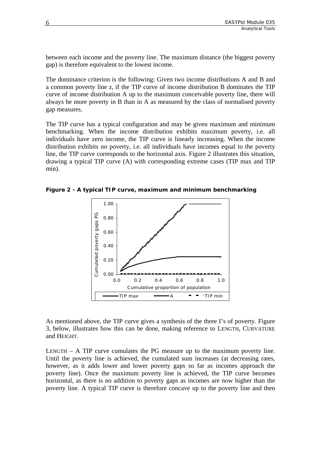between each income and the poverty line. The maximum distance (the biggest poverty gap) is therefore equivalent to the lowest income.

The dominance criterion is the following: Given two income distributions A and B and a common poverty line *z*, if the TIP curve of income distribution B dominates the TIP curve of income distribution A up to the maximum conceivable poverty line, there will always be more poverty in B than in A as measured by the class of normalised poverty gap measures.

The TIP curve has a typical configuration and may be given maximum and minimum benchmarking. When the income distribution exhibits maximum poverty, i.e. all individuals have zero income, the TIP curve is linearly increasing. When the income distribution exhibits no poverty, i.e. all individuals have incomes equal to the poverty line, the TIP curve corresponds to the horizontal axis. Figure 2 illustrates this situation, drawing a typical TIP curve (A) with corresponding extreme cases (TIP max and TIP min).

**Figure 2 - A typical TIP curve, maximum and minimum benchmarking** 



As mentioned above, the TIP curve gives a synthesis of the three I's of poverty. Figure 3, below, illustrates how this can be done, making reference to LENGTH, CURVATURE and HEIGHT.

LENGTH – A TIP curve cumulates the PG measure up to the maximum poverty line. Until the poverty line is achieved, the cumulated sum increases (at decreasing rates, however, as it adds lower and lower poverty gaps so far as incomes approach the poverty line). Once the maximum poverty line is achieved, the TIP curve becomes horizontal, as there is no addition to poverty gaps as incomes are now higher than the poverty line. A typical TIP curve is therefore concave up to the poverty line and then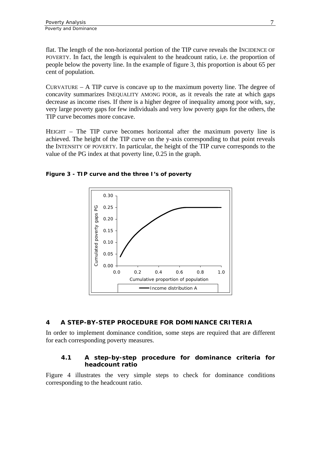<span id="page-10-0"></span>flat. The length of the non-horizontal portion of the TIP curve reveals the INCIDENCE OF POVERTY. In fact, the length is equivalent to the headcount ratio, i.e. the proportion of people below the poverty line. In the example of figure 3, this proportion is about 65 per cent of population.

CURVATURE – A TIP curve is concave up to the maximum poverty line. The degree of concavity summarizes INEQUALITY AMONG POOR, as it reveals the rate at which gaps decrease as income rises. If there is a higher degree of inequality among poor with, say, very large poverty gaps for few individuals and very low poverty gaps for the others, the TIP curve becomes more concave.

HEIGHT – The TIP curve becomes horizontal after the maximum poverty line is achieved. The height of the TIP curve on the y-axis corresponding to that point reveals the INTENSITY OF POVERTY. In particular, the height of the TIP curve corresponds to the value of the PG index at that poverty line, 0.25 in the graph.



**Figure 3 - TIP curve and the three I's of poverty** 

### **4 A STEP-BY-STEP PROCEDURE FOR DOMINANCE CRITERIA**

In order to implement dominance condition, some steps are required that are different for each corresponding poverty measures.

#### **4.1 A step-by-step procedure for dominance criteria for headcount ratio**

Figure 4 illustrates the very simple steps to check for dominance conditions corresponding to the headcount ratio.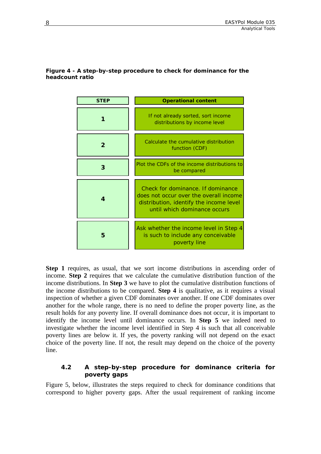| <b>STEP</b> | <b>Operational content</b>                                                                                                                             |
|-------------|--------------------------------------------------------------------------------------------------------------------------------------------------------|
|             | If not already sorted, sort income<br>distributions by income level                                                                                    |
| 2           | Calculate the cumulative distribution<br>function (CDF)                                                                                                |
| 3           | Plot the CDFs of the income distributions to<br>be compared                                                                                            |
| 4           | Check for dominance. If dominance<br>does not occur over the overall income<br>distribution, identify the income level<br>until which dominance occurs |
| 5           | Ask whether the income level in Step 4<br>is such to include any conceivable<br>poverty line                                                           |

#### <span id="page-11-0"></span>**Figure 4 - A step-by-step procedure to check for dominance for the headcount ratio**

**Step 1** requires, as usual, that we sort income distributions in ascending order of income. **Step 2** requires that we calculate the cumulative distribution function of the income distributions. In **Step 3** we have to plot the cumulative distribution functions of the income distributions to be compared. **Step 4** is qualitative, as it requires a visual inspection of whether a given CDF dominates over another. If one CDF dominates over another for the whole range, there is no need to define the proper poverty line, as the result holds for any poverty line. If overall dominance does not occur, it is important to identify the income level until dominance occurs. In **Step 5** we indeed need to investigate whether the income level identified in Step 4 is such that all conceivable poverty lines are below it. If yes, the poverty ranking will not depend on the exact choice of the poverty line. If not, the result may depend on the choice of the poverty line.

#### **4.2 A step-by-step procedure for dominance criteria for poverty gaps**

Figure 5, below, illustrates the steps required to check for dominance conditions that correspond to higher poverty gaps. After the usual requirement of ranking income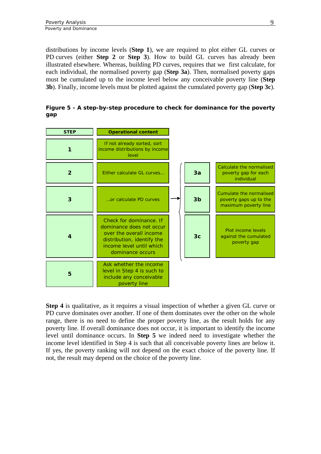distributions by income levels (**Step 1**), we are required to plot either GL curves or PD curves (either **Step 2** or **Step 3**). How to build GL curves has already been illustrated elsewhere. Whereas, building PD curves, requires that we first calculate, for each individual, the normalised poverty gap (**Step 3a**). Then, normalised poverty gaps must be cumulated up to the income level below any conceivable poverty line (**Step 3b**). Finally, income levels must be plotted against the cumulated poverty gap (**Step 3c**).

**Figure 5 - A step-by-step procedure to check for dominance for the poverty gap** 

| <b>STEP</b>    | <b>Operational content</b>                                                                                                                                   |                |                                                                           |
|----------------|--------------------------------------------------------------------------------------------------------------------------------------------------------------|----------------|---------------------------------------------------------------------------|
|                | If not already sorted, sort<br>income distributions by income<br>level                                                                                       |                |                                                                           |
| $\overline{2}$ | Either calculate GL curves                                                                                                                                   | 3a             | Calculate the normalised<br>poverty gap for each<br>individual            |
| 3              | or calculate PD curves                                                                                                                                       | 3 <sub>b</sub> | Cumulate the normalised<br>poverty gaps up to the<br>maximum poverty line |
| 4              | Check for dominance. If<br>dominance does not occur<br>over the overall income<br>distribution, identify the<br>income level until which<br>dominance occurs | 3 <sub>c</sub> | Plot income levels<br>against the cumulated<br>poverty gap                |
| 5              | Ask whether the income<br>level in Step 4 is such to<br>include any conceivable<br>poverty line                                                              |                |                                                                           |

**Step 4** is qualitative, as it requires a visual inspection of whether a given GL curve or PD curve dominates over another. If one of them dominates over the other on the whole range, there is no need to define the proper poverty line, as the result holds for any poverty line. If overall dominance does not occur, it is important to identify the income level until dominance occurs. In **Step 5** we indeed need to investigate whether the income level identified in Step 4 is such that all conceivable poverty lines are below it. If yes, the poverty ranking will not depend on the exact choice of the poverty line. If not, the result may depend on the choice of the poverty line.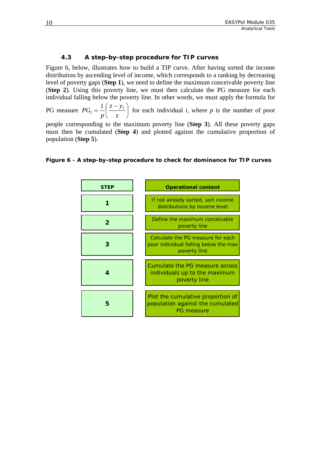#### **4.3 A step-by-step procedure for TIP curves**

<span id="page-13-0"></span>Figure 6, below, illustrates how to build a TIP curve. After having sorted the income distribution by ascending level of income, which corresponds to a ranking by decreasing level of poverty gaps (**Step 1**), we need to define the maximum conceivable poverty line (**Step 2**). Using this poverty line, we must then calculate the PG measure for each individual falling below the poverty line. In other words, we must apply the formula for

PG measure  $PG_i = \frac{1}{n} \left| \frac{S_i - S_i}{S_i} \right|$ ⎠  $\left(\frac{z-y_i}{z}\right)$  $=\frac{1}{p}\left(\frac{z-y}{z}\right)$ *p*  $PG_i = \frac{1}{n} \left( \frac{z - y_i}{z - z_i} \right)$  for each individual *i*, where *p* is the number of poor

people corresponding to the maximum poverty line (**Step 3**). All these poverty gaps must then be cumulated (**Step 4**) and plotted against the cumulative proportion of population (**Step 5**).

#### **Figure 6 - A step-by-step procedure to check for dominance for TIP curves**

| <b>STEP</b> | <b>Operational content</b>                                                                 |
|-------------|--------------------------------------------------------------------------------------------|
|             | If not already sorted, sort income<br>distributions by income level                        |
|             | Define the maximum conceivable<br>poverty line                                             |
|             | Calculate the PG measure for each<br>poor individual falling below the max<br>poverty line |
|             | Cumulate the PG measure across<br>individuals up to the maximum<br>poverty line            |
| 5           | Plot the cumulative proportion of<br>population against the cumulated<br>PG measure        |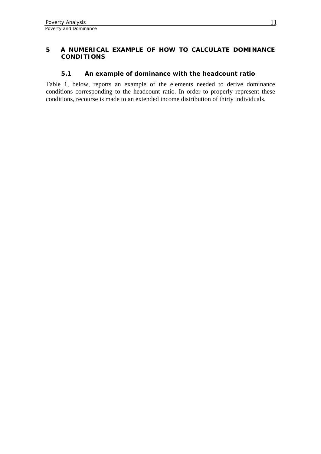#### <span id="page-14-0"></span>**5 A NUMERICAL EXAMPLE OF HOW TO CALCULATE DOMINANCE CONDITIONS**

#### **5.1 An example of dominance with the headcount ratio**

Table 1, below, reports an example of the elements needed to derive dominance conditions corresponding to the headcount ratio. In order to properly represent these conditions, recourse is made to an extended income distribution of thirty individuals.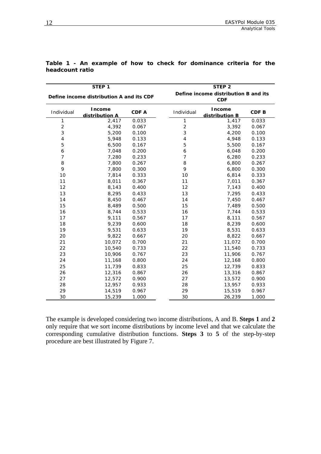|                | STEP 1                                   |       |                                                    | STEP <sub>2</sub>        |                  |  |  |
|----------------|------------------------------------------|-------|----------------------------------------------------|--------------------------|------------------|--|--|
|                | Define income distribution A and its CDF |       | Define income distribution B and its<br><b>CDF</b> |                          |                  |  |  |
| Individual     | <b>Income</b><br>distribution A          | CDF A | Individual                                         | Income<br>distribution B | CDF <sub>B</sub> |  |  |
| 1              | 2,417                                    | 0.033 | $\mathbf{1}$                                       | 1,417                    | 0.033            |  |  |
| $\overline{c}$ | 4,392                                    | 0.067 | $\overline{2}$                                     | 3,392                    | 0.067            |  |  |
| 3              | 5,200                                    | 0.100 | 3                                                  | 4,200                    | 0.100            |  |  |
| $\overline{4}$ | 5,948                                    | 0.133 | $\overline{4}$                                     | 4,948                    | 0.133            |  |  |
| 5              | 6,500                                    | 0.167 | 5                                                  | 5,500                    | 0.167            |  |  |
| 6              | 7,048                                    | 0.200 | 6                                                  | 6,048                    | 0.200            |  |  |
| $\overline{7}$ | 7,280                                    | 0.233 | 7                                                  | 6,280                    | 0.233            |  |  |
| 8              | 7,800                                    | 0.267 | 8                                                  | 6,800                    | 0.267            |  |  |
| 9              | 7,800                                    | 0.300 | 9                                                  | 6,800                    | 0.300            |  |  |
| 10             | 7,814                                    | 0.333 | 10                                                 | 6,814                    | 0.333            |  |  |
| 11             | 8,011                                    | 0.367 | 11                                                 | 7,011                    | 0.367            |  |  |
| 12             | 8,143                                    | 0.400 | 12                                                 | 7,143                    | 0.400            |  |  |
| 13             | 8,295                                    | 0.433 | 13                                                 | 7,295                    | 0.433            |  |  |
| 14             | 8,450                                    | 0.467 | 14                                                 | 7,450                    | 0.467            |  |  |
| 15             | 8,489                                    | 0.500 | 15                                                 | 7,489                    | 0.500            |  |  |
| 16             | 8,744                                    | 0.533 | 16                                                 | 7,744                    | 0.533            |  |  |
| 17             | 9,111                                    | 0.567 | 17                                                 | 8,111                    | 0.567            |  |  |
| 18             | 9,239                                    | 0.600 | 18                                                 | 8,239                    | 0.600            |  |  |
| 19             | 9,531                                    | 0.633 | 19                                                 | 8,531                    | 0.633            |  |  |
| 20             | 9,822                                    | 0.667 | 20                                                 | 8,822                    | 0.667            |  |  |
| 21             | 10,072                                   | 0.700 | 21                                                 | 11,072                   | 0.700            |  |  |
| 22             | 10,540                                   | 0.733 | 22                                                 | 11,540                   | 0.733            |  |  |
| 23             | 10,906                                   | 0.767 | 23                                                 | 11,906                   | 0.767            |  |  |
| 24             | 11,168                                   | 0.800 | 24                                                 | 12,168                   | 0.800            |  |  |
| 25             | 11,739                                   | 0.833 | 25                                                 | 12,739                   | 0.833            |  |  |
| 26             | 12,316                                   | 0.867 | 26                                                 | 13,316                   | 0.867            |  |  |
| 27             | 12,572                                   | 0.900 | 27                                                 | 13,572                   | 0.900            |  |  |
| 28             | 12,957                                   | 0.933 | 28                                                 | 13,957                   | 0.933            |  |  |
| 29             | 14,519                                   | 0.967 | 29                                                 | 15,519                   | 0.967            |  |  |
| 30             | 15,239                                   | 1.000 | 30                                                 | 26,239                   | 1.000            |  |  |

|                 |  |  |  | Table 1 - An example of how to check for dominance criteria for the |  |  |
|-----------------|--|--|--|---------------------------------------------------------------------|--|--|
| headcount ratio |  |  |  |                                                                     |  |  |

The example is developed considering two income distributions, A and B. **Steps 1** and **2** only require that we sort income distributions by income level and that we calculate the corresponding cumulative distribution functions. **Steps 3** to **5** of the step-by-step procedure are best illustrated by Figure 7.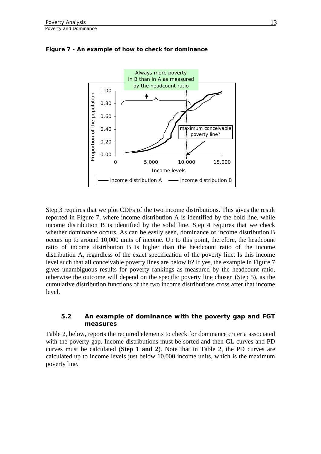

<span id="page-16-0"></span>**Figure 7 - An example of how to check for dominance** 

Step 3 requires that we plot CDFs of the two income distributions. This gives the result reported in Figure 7, where income distribution A is identified by the bold line, while income distribution B is identified by the solid line. Step 4 requires that we check whether dominance occurs. As can be easily seen, dominance of income distribution B occurs up to around 10,000 units of income. Up to this point, therefore, the headcount ratio of income distribution B is higher than the headcount ratio of the income distribution A, regardless of the exact specification of the poverty line. Is this income level such that all conceivable poverty lines are below it? If yes, the example in Figure 7 gives unambiguous results for poverty rankings as measured by the headcount ratio, otherwise the outcome will depend on the specific poverty line chosen (Step 5), as the cumulative distribution functions of the two income distributions cross after that income level.

#### **5.2 An example of dominance with the poverty gap and FGT measures**

Table 2, below, reports the required elements to check for dominance criteria associated with the poverty gap. Income distributions must be sorted and then GL curves and PD curves must be calculated (**Step 1 and 2**). Note that in Table 2, the PD curves are calculated up to income levels just below 10,000 income units, which is the maximum poverty line.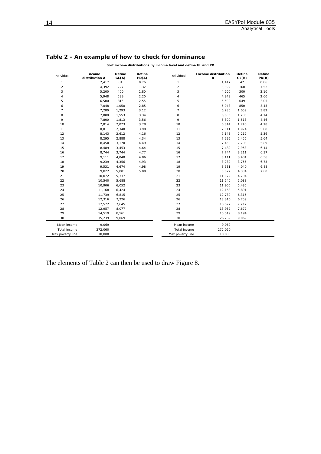**Define PD(B)**

| Table 2 - An example of how to check for dominance<br>Sort income distributions by income level and define GL and PD |                          |                        |                        |            |                          |                        |               |  |
|----------------------------------------------------------------------------------------------------------------------|--------------------------|------------------------|------------------------|------------|--------------------------|------------------------|---------------|--|
| Individual                                                                                                           | Income<br>distribution A | <b>Define</b><br>GL(A) | <b>Define</b><br>PD(A) | Individual | Income distribution<br>в | <b>Define</b><br>GL(B) | Defin<br>PD(B |  |
|                                                                                                                      | 2.417                    | 81                     | 0.76                   |            | 1.417                    | 47                     | 0.86          |  |
|                                                                                                                      | 4.392                    | 227                    | 1.32                   |            | 3.392                    | 160                    | 1.52          |  |
|                                                                                                                      | 5.200                    | 400                    | 1.80                   | 3          | 4.200                    | 300                    | 2.1C          |  |
|                                                                                                                      | 5.948                    | 599                    | 2.20                   |            | 4.948                    | 465                    | 2.6C          |  |
| 5                                                                                                                    | 6.500                    | 815                    | 2.55                   | 5          | 5.500                    | 649                    | 3.05          |  |
| 6                                                                                                                    | 7.048                    | 1.050                  | 2.85                   | 6          | 6.048                    | 850                    | 3.45          |  |
|                                                                                                                      | 7.280                    | 1.293                  | 3.12                   |            | 6.280                    | 1.059                  | 3.82          |  |

 10,072 5,337 21 11,072 4,704 10,540 5,688 22 11,540 5,088 10,906 6,052 23 11,906 5,485 11,168 6,424 24 12,168 5,891 11,739 6,815 25 12,739 6,315 12,316 7,226 26 13,316 6,759 12,572 7,645 27 13,572 7,212 28 13,957 8,077 28 28 13,957 7,677 14,519 8,561 29 15,519 8,194 15,239 9,069 30 26,239 9,069

Mean income 9,069 Mean income 9,069 Total income 272,060 Total income 272,060 Max poverty line 10,000 10,000 Max poverty line 10,000

 7,800 1,553 3.34 8 6,800 1,286 4.14 7,800 1,813 3.56 9 6,800 1,513 4.46 7,814 2,073 3.78 10 6,814 1,740 4.78 8,011 2,340 3.98 11 7,011 1,974 5.08 8,143 2,612 4.16 12 7,143 2,212 5.36 8,295 2,888 4.34 13 7,295 2,455 5.64 8,450 3,170 4.49 14 7,450 2,703 5.89 8,489 3,453 4.64 15 7,489 2,953 6.14 8,744 3,744 4.77 16 7,744 3,211 6.37 9,111 4,048 4.86 17 8,111 3,481 6.56 9,239 4,356 4.93 18 8,239 3,756 6.73 9,531 4,674 4.98 19 8,531 4,040 6.88 9,822 5,001 5.00 20 8,822 4,334 7.00

The elements of Table 2 can then be used to draw Figure 8.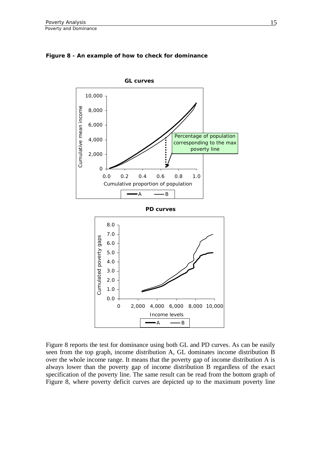

#### **Figure 8 - An example of how to check for dominance**

Figure 8 reports the test for dominance using both GL and PD curves. As can be easily seen from the top graph, income distribution A, GL dominates income distribution B over the whole income range. It means that the poverty gap of income distribution A is always lower than the poverty gap of income distribution B regardless of the exact specification of the poverty line. The same result can be read from the bottom graph of Figure 8, where poverty deficit curves are depicted up to the maximum poverty line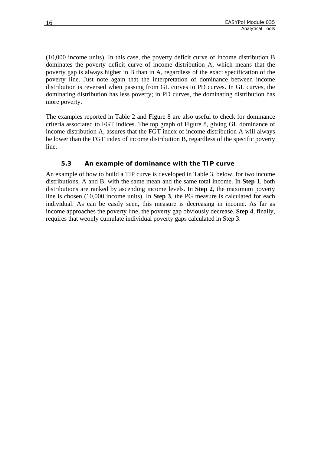<span id="page-19-0"></span>(10,000 income units). In this case, the poverty deficit curve of income distribution B dominates the poverty deficit curve of income distribution A, which means that the poverty gap is always higher in B than in A, regardless of the exact specification of the poverty line. Just note again that the interpretation of dominance between income distribution is reversed when passing from GL curves to PD curves. In GL curves, the dominating distribution has less poverty; in PD curves, the dominating distribution has more poverty.

The examples reported in Table 2 and Figure 8 are also useful to check for dominance criteria associated to FGT indices. The top graph of Figure 8, giving GL dominance of income distribution A, assures that the FGT index of income distribution A will always be lower than the FGT index of income distribution B, regardless of the specific poverty line.

#### **5.3 An example of dominance with the TIP curve**

An example of how to build a TIP curve is developed in Table 3, below, for two income distributions, A and B, with the same mean and the same total income. In **Step 1**, both distributions are ranked by ascending income levels. In **Step 2**, the maximum poverty line is chosen (10,000 income units). In **Step 3**, the PG measure is calculated for each individual. As can be easily seen, this measure is decreasing in income. As far as income approaches the poverty line, the poverty gap obviously decrease. **Step 4**, finally, requires that weonly cumulate individual poverty gaps calculated in Step 3.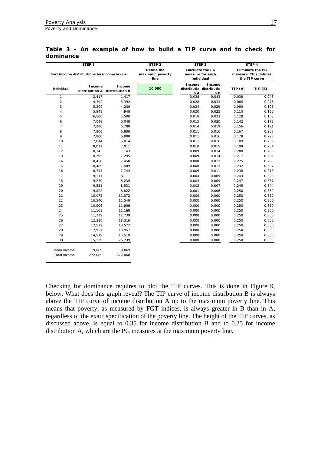Poverty and Dominance

Total income 272,060 272,060

|                | STEP <sub>1</sub>                          |                                         | STEP <sub>2</sub>                     |               | STEP 3                                                    |                                                                  | STEP 4 |  |
|----------------|--------------------------------------------|-----------------------------------------|---------------------------------------|---------------|-----------------------------------------------------------|------------------------------------------------------------------|--------|--|
|                | Sort income distributions by income levels |                                         | Define the<br>maximum poverty<br>line |               | <b>Calculate the PG</b><br>measure for each<br>individual | <b>Cumulate the PG</b><br>measure. This defines<br>the TIP curve |        |  |
| Individual     | Income                                     | Income<br>distribution A distribution B | 10,000                                | Income<br>n A | Income<br>distributio distributio<br>nB                   | TIP(A)                                                           | TIP(B) |  |
| $\mathbf{1}$   | 2,417                                      | 1,417                                   |                                       | 0.038         | 0.043                                                     | 0.038                                                            | 0.043  |  |
| $\overline{2}$ | 4,392                                      | 3,392                                   |                                       | 0.028         | 0.033                                                     | 0.066                                                            | 0.076  |  |
| 3              | 5,200                                      | 4,200                                   |                                       | 0.024         | 0.029                                                     | 0.090                                                            | 0.105  |  |
| $\overline{4}$ | 5,948                                      | 4,948                                   |                                       | 0.020         | 0.025                                                     | 0.110                                                            | 0.130  |  |
| 5              | 6,500                                      | 5,500                                   |                                       | 0.018         | 0.023                                                     | 0.128                                                            | 0.153  |  |
| 6              | 7,048                                      | 6,048                                   |                                       | 0.015         | 0.020                                                     | 0.142                                                            | 0.172  |  |
| $\overline{7}$ | 7,280                                      | 6,280                                   |                                       | 0.014         | 0.019                                                     | 0.156                                                            | 0.191  |  |
| 8              | 7,800                                      | 6,800                                   |                                       | 0.011         | 0.016                                                     | 0.167                                                            | 0.207  |  |
| 9              | 7,800                                      | 6,800                                   |                                       | 0.011         | 0.016                                                     | 0.178                                                            | 0.223  |  |
| 10             | 7,814                                      | 6,814                                   |                                       | 0.011         | 0.016                                                     | 0.189                                                            | 0.239  |  |
| 11             | 8,011                                      | 7,011                                   |                                       | 0.010         | 0.015                                                     | 0.199                                                            | 0.254  |  |
| 12             | 8,143                                      | 7,143                                   |                                       | 0.009         | 0.014                                                     | 0.208                                                            | 0.268  |  |
| 13             | 8,295                                      | 7,295                                   |                                       | 0.009         | 0.014                                                     | 0.217                                                            | 0.282  |  |
| 14             | 8,450                                      | 7,450                                   |                                       | 0.008         | 0.013                                                     | 0.225                                                            | 0.295  |  |
| 15             | 8,489                                      | 7,489                                   |                                       | 0.008         | 0.013                                                     | 0.232                                                            | 0.307  |  |
| 16             | 8,744                                      | 7,744                                   |                                       | 0.006         | 0.011                                                     | 0.238                                                            | 0.318  |  |
| 17             | 9,111                                      | 8,111                                   |                                       | 0.004         | 0.009                                                     | 0.243                                                            | 0.328  |  |
| 18             | 9,239                                      | 8,239                                   |                                       | 0.004         | 0.009                                                     | 0.247                                                            | 0.337  |  |
| 19             | 9,531                                      | 8,531                                   |                                       | 0.002         | 0.007                                                     | 0.249                                                            | 0.344  |  |
| 20             | 9,822                                      | 8,822                                   |                                       | 0.001         | 0.006                                                     | 0.250                                                            | 0.350  |  |
| 21             | 10,072                                     | 11,072                                  |                                       | 0.000         | 0.000                                                     | 0.250                                                            | 0.350  |  |
| 22             | 10,540                                     | 11,540                                  |                                       | 0.000         | 0.000                                                     | 0.250                                                            | 0.350  |  |
| 23             | 10,906                                     | 11,906                                  |                                       | 0.000         | 0.000                                                     | 0.250                                                            | 0.350  |  |
| 24             | 11,168                                     | 12,168                                  |                                       | 0.000         | 0.000                                                     | 0.250                                                            | 0.350  |  |
| 25             | 11,739                                     | 12,739                                  |                                       | 0.000         | 0.000                                                     | 0.250                                                            | 0.350  |  |
| 26             | 12,316                                     | 13,316                                  |                                       | 0.000         | 0.000                                                     | 0.250                                                            | 0.350  |  |
| 27             | 12,572                                     | 13,572                                  |                                       | 0.000         | 0.000                                                     | 0.250                                                            | 0.350  |  |
| 28             | 12,957                                     | 13,957                                  |                                       | 0.000         | 0.000                                                     | 0.250                                                            | 0.350  |  |
| 29             | 14,519                                     | 15,519                                  |                                       | 0.000         | 0.000                                                     | 0.250                                                            | 0.350  |  |
| 30             | 15,239                                     | 26,239                                  |                                       | 0.000         | 0.000                                                     | 0.250                                                            | 0.350  |  |
| Mean income    | 9.069                                      | 9.069                                   |                                       |               |                                                           |                                                                  |        |  |

**Table 3 - An example of how to build a TIP curve and to check for dominance** 

Checking for dominance requires to plot the TIP curves. This is done in Figure 9, below. What does this graph reveal? The TIP curve of income distribution B is always above the TIP curve of income distribution A up to the maximum poverty line. This means that poverty, as measured by FGT indices, is always greater in B than in A, regardless of the exact specification of the poverty line. The height of the TIP curves, as discussed above, is equal to 0.35 for income distribution B and to 0.25 for income distribution A, which are the PG measures at the maximum poverty line.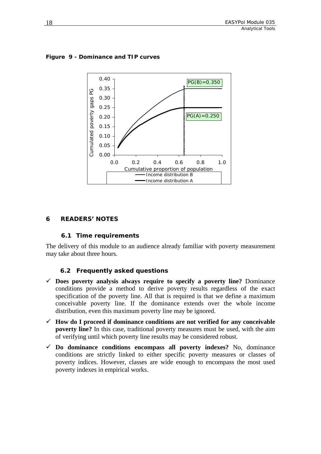

<span id="page-21-0"></span>**Figure 9 - Dominance and TIP curves** 

#### **6 READERS' NOTES**

#### **6.1 Time requirements**

The delivery of this module to an audience already familiar with poverty measurement may take about three hours.

#### **6.2 Frequently asked questions**

- $\checkmark$  Does poverty analysis always require to specify a poverty line? Dominance conditions provide a method to derive poverty results regardless of the exact specification of the poverty line. All that is required is that we define a maximum conceivable poverty line. If the dominance extends over the whole income distribution, even this maximum poverty line may be ignored.
- 9 **How do I proceed if dominance conditions are not verified for any conceivable poverty line?** In this case, traditional poverty measures must be used, with the aim of verifying until which poverty line results may be considered robust.
- $\checkmark$  Do dominance conditions encompass all poverty indexes? No, dominance conditions are strictly linked to either specific poverty measures or classes of poverty indices. However, classes are wide enough to encompass the most used poverty indexes in empirical works.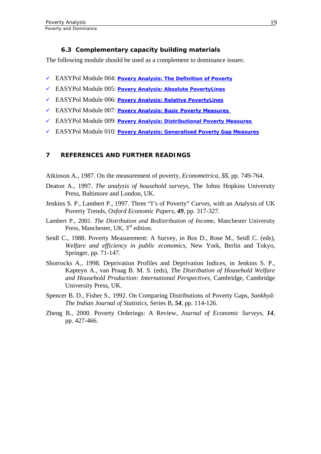#### **6.3 Complementary capacity building materials**

<span id="page-22-0"></span>The following module should be used as a complement to dominance issues:

- 9 EASYPol Module 004: *[Povery Analysis: The Definition of Poverty](http://www.fao.org/docs/up/easypol/312/povanlys_defpov_004EN.pdf)*
- 9 EASYPol Module 005: *[Povery Analysis: Absolute PovertyLines](http://www.fao.org/docs/up/easypol/316/abslt_pov_lines_005EN.pdf)*
- 9 EASYPol Module 006: *[Povery Analysis: Relative PovertyLines](http://www.fao.org/docs/up/easypol/317/rel_pov_lines_006EN.pdf)*
- 9 EASYPol Module 007: *[Povery Analysis: Basic Poverty Measures](http://www.fao.org/docs/up/easypol/323/basic-pov-measures_007EN.pdf)*
- 9 EASYPol Module 009: *[Povery Analysis: Distributional Poverty Measures](http://www.fao.org/docs/up/easypol/322/distributional-pvmsrs_009EN.pdf)*
- 9 EASYPol Module 010: *[Povery Analysis: Generalised Poverty Gap Measures](http://www.fao.org/docs/up/easypol/324/gnrlsed_pvty_gap_msrs_010EN.pdf)*

#### **7 REFERENCES AND FURTHER READINGS**

Atkinson A., 1987. On the measurement of poverty, *Econometrica*, *55*, pp. 749-764.

- Deaton A., 1997. *The analysis of household surveys*, The Johns Hopkins University Press, Baltimore and London, UK.
- Jenkins S. P., Lambert P., 1997. Three "I's of Poverty" Curves, with an Analysis of UK Poverty Trends, *Oxford Economic Papers*, *49*, pp. 317-327.
- Lambert P., 2001. *The Distribution and Redistribution of Income*, Manchester University Press, Manchester, UK,  $3<sup>rd</sup>$  edition.
- Seidl C., 1988. Poverty Measurement: A Survey, in Bos D., Rose M., Seidl C. (eds), *Welfare and efficiency in public economics*, New York, Berlin and Tokyo, Springer, pp. 71-147.
- Shorrocks A., 1998. Deprivation Profiles and Deprivation Indices, in Jenkins S. P., Kapteyn A., van Praag B. M. S. (eds), *The Distribution of Household Welfare and Household Production: International Perspectives*, Cambridge, Cambridge University Press, UK.
- Spencer B. D., Fisher S., 1992. On Comparing Distributions of Poverty Gaps, *Sankhyã: The Indian Journal of Statistics*, Series B, *54*, pp. 114-126.
- Zheng B., 2000. Poverty Orderings: A Review, *Journal of Economic Surveys*, *14*, pp. 427-466.